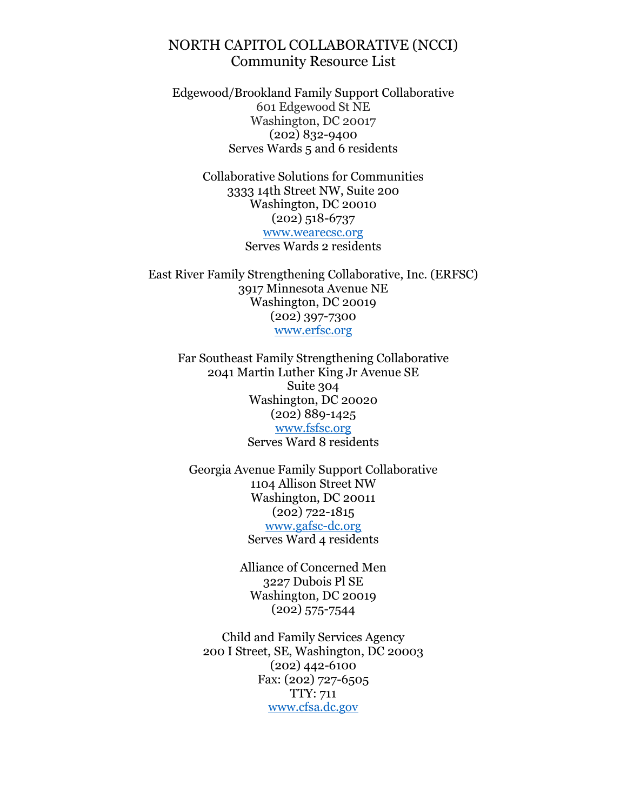Edgewood/Brookland Family Support Collaborative 601 Edgewood St NE Washington, DC 20017 (202) 832-9400 Serves Wards 5 and 6 residents

> Collaborative Solutions for Communities 3333 14th Street NW, Suite 200 Washington, DC 20010 (202) 518-6737 [www.wearecsc.org](http://www.wearecsc.org/) Serves Wards 2 residents

East River Family Strengthening Collaborative, Inc. (ERFSC) 3917 Minnesota Avenue NE Washington, DC 20019 (202) 397-7300 [www.erfsc.org](http://www.erfsc.org/)

Far Southeast Family Strengthening Collaborative 2041 Martin Luther King Jr Avenue SE Suite 304 Washington, DC 20020 (202) 889-1425 [www.fsfsc.org](http://www.fsfsc.org/) Serves Ward 8 residents

Georgia Avenue Family Support Collaborative 1104 Allison Street NW Washington, DC 20011 (202) 722-1815 [www.gafsc-dc.org](http://www.gafsc-dc.org/) Serves Ward 4 residents

> Alliance of Concerned Men 3227 Dubois Pl SE Washington, DC 20019 (202) 575-7544

Child and Family Services Agency 200 I Street, SE, Washington, DC 20003 (202) 442-6100 Fax: (202) 727-6505 TTY: 711 [www.cfsa.dc.gov](http://www.cfsa.dc.gov/)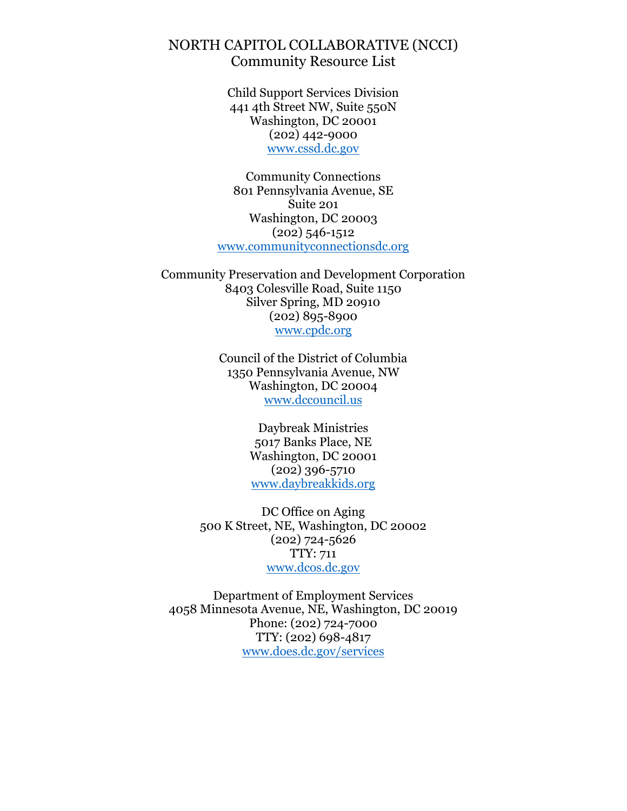Child Support Services Division 441 4th Street NW, Suite 550N Washington, DC 20001 (202) 442-9000 [www.cssd.dc.gov](http://www.cssd.dc.gov/)

Community Connections 801 Pennsylvania Avenue, SE Suite 201 Washington, DC 20003 (202) 546-1512 [www.communityconnectionsdc.org](http://www.communityconnectionsdc.org/)

Community Preservation and Development Corporation 8403 Colesville Road, Suite 1150 Silver Spring, MD 20910 (202) 895-8900 [www.cpdc.org](http://www.cpdc.org/)

> Council of the District of Columbia 1350 Pennsylvania Avenue, NW Washington, DC 20004 [www.dccouncil.us](http://www.dccouncil.us/)

> > Daybreak Ministries 5017 Banks Place, NE Washington, DC 20001 (202) 396-5710 [www.daybreakkids.org](http://www.daybreakkids.org/)

DC Office on Aging 500 K Street, NE, Washington, DC 20002 (202) 724-5626 TTY: 711 [www.dcos.dc.gov](http://www.dcos.dc.gov/)

Department of Employment Services 4058 Minnesota Avenue, NE, Washington, DC 20019 Phone: (202) 724-7000 TTY: (202) 698-4817 [www.does.dc.gov/services](http://www.does.dc.gov/services)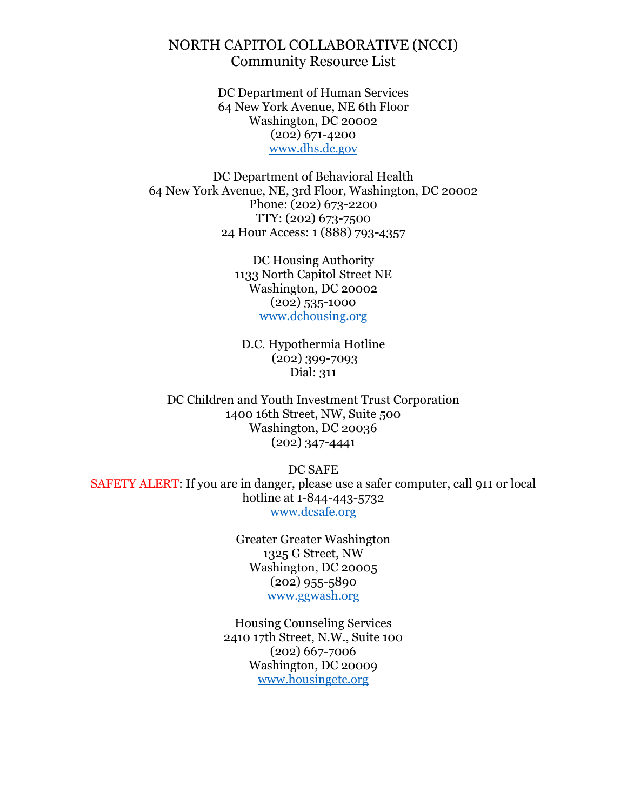> DC Department of Human Services 64 New York Avenue, NE 6th Floor Washington, DC 20002 (202) 671-4200 [www.dhs.dc.gov](http://www.dhs.dc.gov/)

DC Department of Behavioral Health 64 New York Avenue, NE, 3rd Floor, Washington, DC 20002 Phone: (202) 673-2200 TTY: (202) 673-7500 24 Hour Access: 1 (888) 793-4357

> DC Housing Authority 1133 North Capitol Street NE Washington, DC 20002 (202) 535-1000 [www.dchousing.org](http://www.dchousing.org/)

D.C. Hypothermia Hotline (202) 399-7093 Dial: 311

DC Children and Youth Investment Trust Corporation 1400 16th Street, NW, Suite 500 Washington, DC 20036 (202) 347-4441

DC SAFE SAFETY ALERT: If you are in danger, please use a safer computer, call 911 or local hotline at 1-844-443-5732 [www.dcsafe.org](http://www.dcsafe.org/)

> Greater Greater Washington 1325 G Street, NW Washington, DC 20005 (202) 955-5890 [www.ggwash.org](http://www.ggwash.org/)

Housing Counseling Services 2410 17th Street, N.W., Suite 100 (202) 667-7006 Washington, DC 20009 [www.housingetc.org](http://www.housingetc.org/)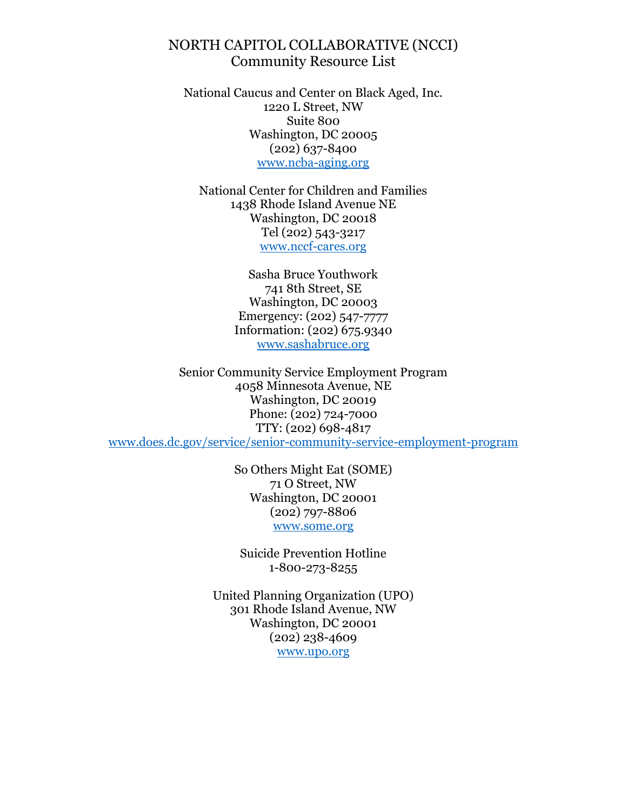National Caucus and Center on Black Aged, Inc. 1220 L Street, NW Suite 800 Washington, DC 20005  $(202)$  637-8400 [www.ncba-aging.org](http://www.ncba-aging.org/)

National Center for Children and Families 1438 Rhode Island Avenue NE Washington, DC 20018 Tel (202) 543-3217 [www.nccf-cares.org](http://www.nccf-cares.org/)

> Sasha Bruce Youthwork 741 8th Street, SE Washington, DC 20003 Emergency: (202) 547-7777 Information: (202) 675.9340 [www.sashabruce.org](http://www.sashabruce.org/)

Senior Community Service Employment Program 4058 Minnesota Avenue, NE Washington, DC 20019 Phone: (202) 724-7000 TTY: (202) 698-4817 [www.does.dc.gov/service/senior-community-service-employment-program](http://www.does.dc.gov/service/senior-community-service-employment-program)

> So Others Might Eat (SOME) 71 O Street, NW Washington, DC 20001 (202) 797-8806 [www.some.org](http://www.some.org/)

Suicide Prevention Hotline 1-800-273-8255

United Planning Organization (UPO) 301 Rhode Island Avenue, NW Washington, DC 20001 (202) 238-4609 [www.upo.org](http://www.upo.org/)